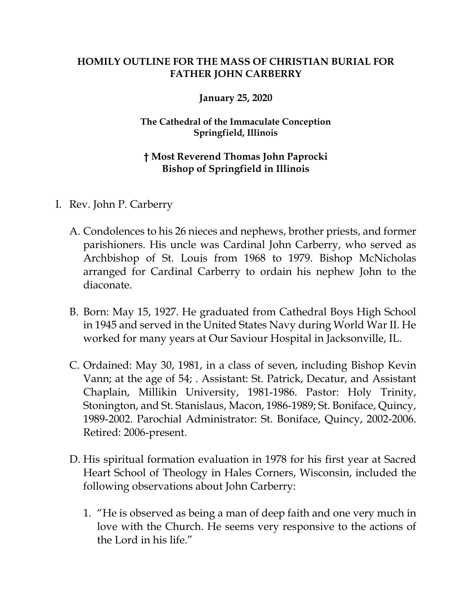## **HOMILY OUTLINE FOR THE MASS OF CHRISTIAN BURIAL FOR FATHER JOHN CARBERRY**

## **January 25, 2020**

## **The Cathedral of the Immaculate Conception Springfield, Illinois**

## **† Most Reverend Thomas John Paprocki Bishop of Springfield in Illinois**

- I. Rev. John P. Carberry
	- A. Condolences to his 26 nieces and nephews, brother priests, and former parishioners. His uncle was Cardinal John Carberry, who served as Archbishop of St. Louis from 1968 to 1979. Bishop McNicholas arranged for Cardinal Carberry to ordain his nephew John to the diaconate.
	- B. Born: May 15, 1927. He graduated from Cathedral Boys High School in 1945 and served in the United States Navy during World War II. He worked for many years at Our Saviour Hospital in Jacksonville, IL.
	- C. Ordained: May 30, 1981, in a class of seven, including Bishop Kevin Vann; at the age of 54; . Assistant: St. Patrick, Decatur, and Assistant Chaplain, Millikin University, 1981-1986. Pastor: Holy Trinity, Stonington, and St. Stanislaus, Macon, 1986-1989; St. Boniface, Quincy, 1989-2002. Parochial Administrator: St. Boniface, Quincy, 2002-2006. Retired: 2006-present.
	- D. His spiritual formation evaluation in 1978 for his first year at Sacred Heart School of Theology in Hales Corners, Wisconsin, included the following observations about John Carberry:
		- 1. "He is observed as being a man of deep faith and one very much in love with the Church. He seems very responsive to the actions of the Lord in his life."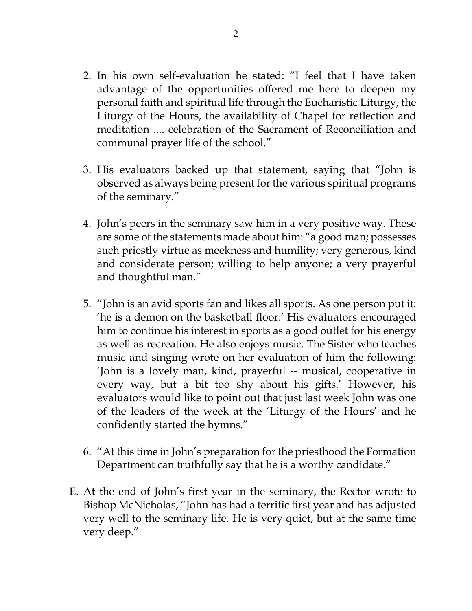- 2. In his own self-evaluation he stated: "I feel that I have taken advantage of the opportunities offered me here to deepen my personal faith and spiritual life through the Eucharistic Liturgy, the Liturgy of the Hours, the availability of Chapel for reflection and meditation .... celebration of the Sacrament of Reconciliation and communal prayer life of the school."
- 3. His evaluators backed up that statement, saying that "John is observed as always being present for the various spiritual programs of the seminary."
- 4. John's peers in the seminary saw him in a very positive way. These are some of the statements made about him: "a good man; possesses such priestly virtue as meekness and humility; very generous, kind and considerate person; willing to help anyone; a very prayerful and thoughtful man."
- 5. "John is an avid sports fan and likes all sports. As one person put it: 'he is a demon on the basketball floor.' His evaluators encouraged him to continue his interest in sports as a good outlet for his energy as well as recreation. He also enjoys music. The Sister who teaches music and singing wrote on her evaluation of him the following: 'John is a lovely man, kind, prayerful -- musical, cooperative in every way, but a bit too shy about his gifts.' However, his evaluators would like to point out that just last week John was one of the leaders of the week at the 'Liturgy of the Hours' and he confidently started the hymns."
- 6. "At this time in John's preparation for the priesthood the Formation Department can truthfully say that he is a worthy candidate."
- E. At the end of John's first year in the seminary, the Rector wrote to Bishop McNicholas, "John has had a terrific first year and has adjusted very well to the seminary life. He is very quiet, but at the same time very deep."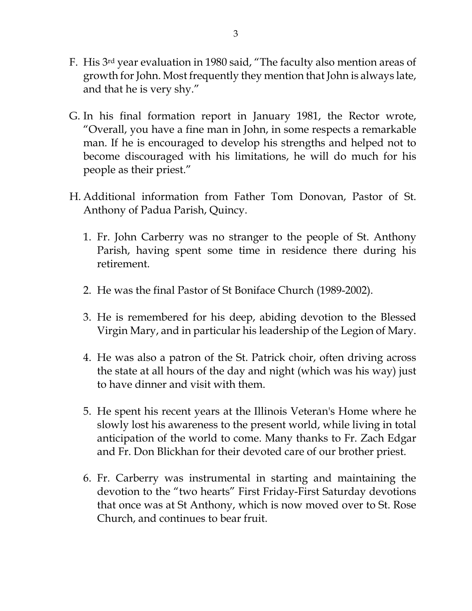- F. His 3rd year evaluation in 1980 said, "The faculty also mention areas of growth for John. Most frequently they mention that John is always late, and that he is very shy."
- G. In his final formation report in January 1981, the Rector wrote, "Overall, you have a fine man in John, in some respects a remarkable man. If he is encouraged to develop his strengths and helped not to become discouraged with his limitations, he will do much for his people as their priest."
- H. Additional information from Father Tom Donovan, Pastor of St. Anthony of Padua Parish, Quincy.
	- 1. Fr. John Carberry was no stranger to the people of St. Anthony Parish, having spent some time in residence there during his retirement.
	- 2. He was the final Pastor of St Boniface Church (1989-2002).
	- 3. He is remembered for his deep, abiding devotion to the Blessed Virgin Mary, and in particular his leadership of the Legion of Mary.
	- 4. He was also a patron of the St. Patrick choir, often driving across the state at all hours of the day and night (which was his way) just to have dinner and visit with them.
	- 5. He spent his recent years at the Illinois Veteran's Home where he slowly lost his awareness to the present world, while living in total anticipation of the world to come. Many thanks to Fr. Zach Edgar and Fr. Don Blickhan for their devoted care of our brother priest.
	- 6. Fr. Carberry was instrumental in starting and maintaining the devotion to the "two hearts" First Friday-First Saturday devotions that once was at St Anthony, which is now moved over to St. Rose Church, and continues to bear fruit.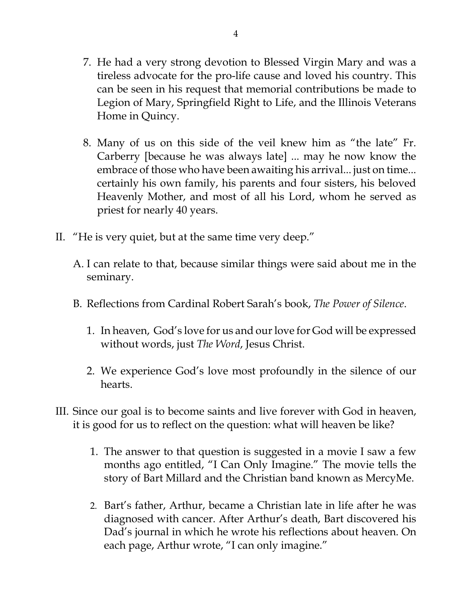- 7. He had a very strong devotion to Blessed Virgin Mary and was a tireless advocate for the pro-life cause and loved his country. This can be seen in his request that memorial contributions be made to Legion of Mary, Springfield Right to Life, and the Illinois Veterans Home in Quincy.
- 8. Many of us on this side of the veil knew him as "the late" Fr. Carberry [because he was always late] ... may he now know the embrace of those who have been awaiting his arrival... just on time... certainly his own family, his parents and four sisters, his beloved Heavenly Mother, and most of all his Lord, whom he served as priest for nearly 40 years.
- II. "He is very quiet, but at the same time very deep."
	- A. I can relate to that, because similar things were said about me in the seminary.
	- B. Reflections from Cardinal Robert Sarah's book, *The Power of Silence*.
		- 1. In heaven, God's love for us and our love for God will be expressed without words, just *The Word*, Jesus Christ.
		- 2. We experience God's love most profoundly in the silence of our hearts.
- III. Since our goal is to become saints and live forever with God in heaven, it is good for us to reflect on the question: what will heaven be like?
	- 1. The answer to that question is suggested in a movie I saw a few months ago entitled, "I Can Only Imagine." The movie tells the story of Bart Millard and the Christian band known as MercyMe.
	- 2. Bart's father, Arthur, became a Christian late in life after he was diagnosed with cancer. After Arthur's death, Bart discovered his Dad's journal in which he wrote his reflections about heaven. On each page, Arthur wrote, "I can only imagine."